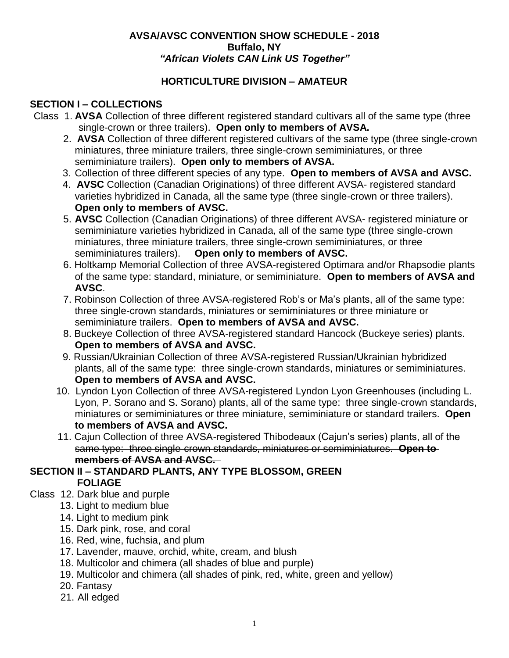### **AVSA/AVSC CONVENTION SHOW SCHEDULE - 2018 Buffalo, NY** *"African Violets CAN Link US Together"*

### **HORTICULTURE DIVISION – AMATEUR**

## **SECTION I – COLLECTIONS**

- Class 1. **AVSA** Collection of three different registered standard cultivars all of the same type (three single-crown or three trailers). **Open only to members of AVSA.**
	- 2. **AVSA** Collection of three different registered cultivars of the same type (three single-crown miniatures, three miniature trailers, three single-crown semiminiatures, or three semiminiature trailers). **Open only to members of AVSA.**
	- 3. Collection of three different species of any type. **Open to members of AVSA and AVSC.**
	- 4. **AVSC** Collection (Canadian Originations) of three different AVSA- registered standard varieties hybridized in Canada, all the same type (three single-crown or three trailers). **Open only to members of AVSC.**
	- 5. **AVSC** Collection (Canadian Originations) of three different AVSA- registered miniature or semiminiature varieties hybridized in Canada, all of the same type (three single-crown miniatures, three miniature trailers, three single-crown semiminiatures, or three semiminiatures trailers). **Open only to members of AVSC.**
	- 6. Holtkamp Memorial Collection of three AVSA-registered Optimara and/or Rhapsodie plants of the same type: standard, miniature, or semiminiature. **Open to members of AVSA and AVSC**.
	- 7. Robinson Collection of three AVSA-registered Rob's or Ma's plants, all of the same type: three single-crown standards, miniatures or semiminiatures or three miniature or semiminiature trailers. **Open to members of AVSA and AVSC.**
	- 8. Buckeye Collection of three AVSA-registered standard Hancock (Buckeye series) plants. **Open to members of AVSA and AVSC.**
	- 9. Russian/Ukrainian Collection of three AVSA-registered Russian/Ukrainian hybridized plants, all of the same type: three single-crown standards, miniatures or semiminiatures. **Open to members of AVSA and AVSC.**
	- 10. Lyndon Lyon Collection of three AVSA-registered Lyndon Lyon Greenhouses (including L. Lyon, P. Sorano and S. Sorano) plants, all of the same type: three single-crown standards, miniatures or semiminiatures or three miniature, semiminiature or standard trailers. **Open to members of AVSA and AVSC.**
	- 11. Cajun Collection of three AVSA-registered Thibodeaux (Cajun's series) plants, all of the same type: three single-crown standards, miniatures or semiminiatures. **Open to members of AVSA and AVSC.**

## **SECTION II – STANDARD PLANTS, ANY TYPE BLOSSOM, GREEN FOLIAGE**

- Class 12. Dark blue and purple
	- 13. Light to medium blue
	- 14. Light to medium pink
	- 15. Dark pink, rose, and coral
	- 16. Red, wine, fuchsia, and plum
	- 17. Lavender, mauve, orchid, white, cream, and blush
	- 18. Multicolor and chimera (all shades of blue and purple)
	- 19. Multicolor and chimera (all shades of pink, red, white, green and yellow)
	- 20. Fantasy
	- 21. All edged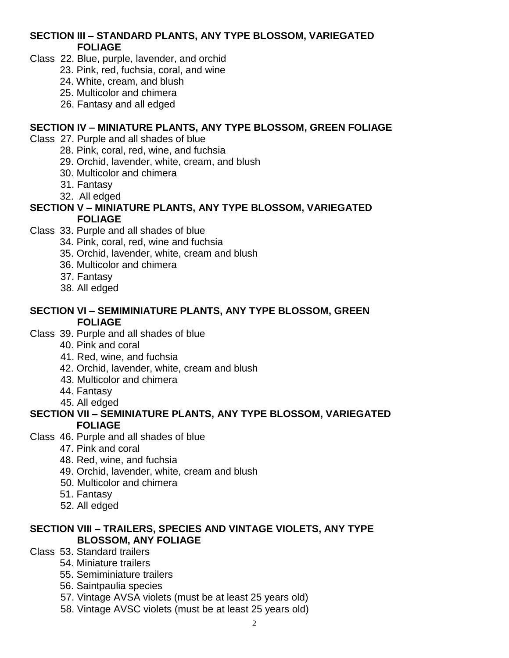### **SECTION III – STANDARD PLANTS, ANY TYPE BLOSSOM, VARIEGATED FOLIAGE**

- Class 22. Blue, purple, lavender, and orchid
	- 23. Pink, red, fuchsia, coral, and wine
	- 24. White, cream, and blush
	- 25. Multicolor and chimera
	- 26. Fantasy and all edged

#### **SECTION IV – MINIATURE PLANTS, ANY TYPE BLOSSOM, GREEN FOLIAGE**

- Class 27. Purple and all shades of blue
	- 28. Pink, coral, red, wine, and fuchsia
	- 29. Orchid, lavender, white, cream, and blush
	- 30. Multicolor and chimera
	- 31. Fantasy
	- 32. All edged

#### **SECTION V – MINIATURE PLANTS, ANY TYPE BLOSSOM, VARIEGATED FOLIAGE**

- Class 33. Purple and all shades of blue
	- 34. Pink, coral, red, wine and fuchsia
	- 35. Orchid, lavender, white, cream and blush
	- 36. Multicolor and chimera
	- 37. Fantasy
	- 38. All edged

#### **SECTION VI – SEMIMINIATURE PLANTS, ANY TYPE BLOSSOM, GREEN FOLIAGE**

- Class 39. Purple and all shades of blue
	- 40. Pink and coral
	- 41. Red, wine, and fuchsia
	- 42. Orchid, lavender, white, cream and blush
	- 43. Multicolor and chimera
	- 44. Fantasy
	- 45. All edged

#### **SECTION VII – SEMINIATURE PLANTS, ANY TYPE BLOSSOM, VARIEGATED FOLIAGE**

- Class 46. Purple and all shades of blue
	- 47. Pink and coral
	- 48. Red, wine, and fuchsia
	- 49. Orchid, lavender, white, cream and blush
	- 50. Multicolor and chimera
	- 51. Fantasy
	- 52. All edged

### **SECTION VIII – TRAILERS, SPECIES AND VINTAGE VIOLETS, ANY TYPE BLOSSOM, ANY FOLIAGE**

- Class 53. Standard trailers
	- 54. Miniature trailers
	- 55. Semiminiature trailers
	- 56. Saintpaulia species
	- 57. Vintage AVSA violets (must be at least 25 years old)
	- 58. Vintage AVSC violets (must be at least 25 years old)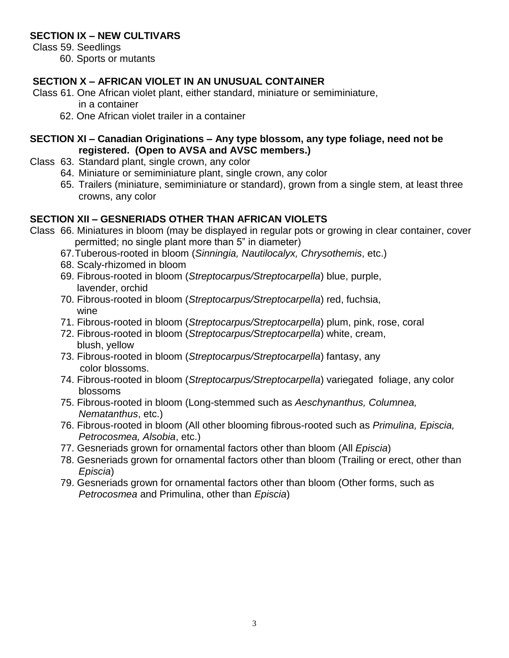### **SECTION IX – NEW CULTIVARS**

Class 59. Seedlings

60. Sports or mutants

## **SECTION X – AFRICAN VIOLET IN AN UNUSUAL CONTAINER**

Class 61. One African violet plant, either standard, miniature or semiminiature,

in a container

62. One African violet trailer in a container

### **SECTION XI – Canadian Originations – Any type blossom, any type foliage, need not be registered. (Open to AVSA and AVSC members.)**

- Class 63. Standard plant, single crown, any color
	- 64. Miniature or semiminiature plant, single crown, any color
		- 65. Trailers (miniature, semiminiature or standard), grown from a single stem, at least three crowns, any color

## **SECTION XII – GESNERIADS OTHER THAN AFRICAN VIOLETS**

- Class 66. Miniatures in bloom (may be displayed in regular pots or growing in clear container, cover permitted; no single plant more than 5" in diameter)
	- 67.Tuberous-rooted in bloom (*Sinningia, Nautilocalyx, Chrysothemis*, etc.)
	- 68. Scaly-rhizomed in bloom
	- 69. Fibrous-rooted in bloom (*Streptocarpus/Streptocarpella*) blue, purple, lavender, orchid
	- 70. Fibrous-rooted in bloom (*Streptocarpus/Streptocarpella*) red, fuchsia, wine
	- 71. Fibrous-rooted in bloom (*Streptocarpus/Streptocarpella*) plum, pink, rose, coral
	- 72. Fibrous-rooted in bloom (*Streptocarpus/Streptocarpella*) white, cream, blush, yellow
	- 73. Fibrous-rooted in bloom (*Streptocarpus/Streptocarpella*) fantasy, any color blossoms.
	- 74. Fibrous-rooted in bloom (*Streptocarpus/Streptocarpella*) variegated foliage, any color blossoms
	- 75. Fibrous-rooted in bloom (Long-stemmed such as *Aeschynanthus, Columnea, Nematanthus*, etc.)
	- 76. Fibrous-rooted in bloom (All other blooming fibrous-rooted such as *Primulina, Episcia, Petrocosmea, Alsobia*, etc.)
	- 77. Gesneriads grown for ornamental factors other than bloom (All *Episcia*)
	- 78. Gesneriads grown for ornamental factors other than bloom (Trailing or erect, other than *Episcia*)
	- 79. Gesneriads grown for ornamental factors other than bloom (Other forms, such as *Petrocosmea* and Primulina, other than *Episcia*)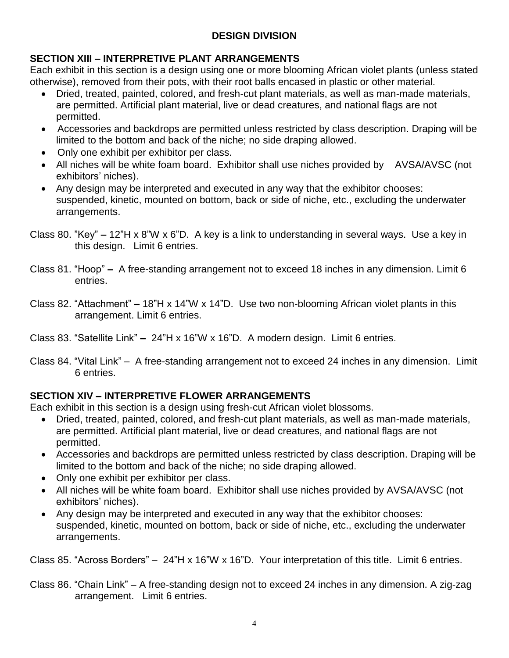## **DESIGN DIVISION**

## **SECTION XIII – INTERPRETIVE PLANT ARRANGEMENTS**

Each exhibit in this section is a design using one or more blooming African violet plants (unless stated otherwise), removed from their pots, with their root balls encased in plastic or other material.

- Dried, treated, painted, colored, and fresh-cut plant materials, as well as man-made materials, are permitted. Artificial plant material, live or dead creatures, and national flags are not permitted.
- Accessories and backdrops are permitted unless restricted by class description. Draping will be limited to the bottom and back of the niche; no side draping allowed.
- Only one exhibit per exhibitor per class.
- All niches will be white foam board. Exhibitor shall use niches provided by AVSA/AVSC (not exhibitors' niches).
- Any design may be interpreted and executed in any way that the exhibitor chooses: suspended, kinetic, mounted on bottom, back or side of niche, etc., excluding the underwater arrangements.
- Class 80. "Key" **–** 12"H x 8"W x 6"D. A key is a link to understanding in several ways. Use a key in this design. Limit 6 entries.
- Class 81. "Hoop" **–** A free-standing arrangement not to exceed 18 inches in any dimension. Limit 6 entries.
- Class 82. "Attachment" **–** 18"H x 14"W x 14"D. Use two non-blooming African violet plants in this arrangement. Limit 6 entries.
- Class 83. "Satellite Link" **–** 24"H x 16"W x 16"D. A modern design. Limit 6 entries.
- Class 84. "Vital Link" A free-standing arrangement not to exceed 24 inches in any dimension. Limit 6 entries.

# **SECTION XIV – INTERPRETIVE FLOWER ARRANGEMENTS**

Each exhibit in this section is a design using fresh-cut African violet blossoms.

- Dried, treated, painted, colored, and fresh-cut plant materials, as well as man-made materials, are permitted. Artificial plant material, live or dead creatures, and national flags are not permitted.
- Accessories and backdrops are permitted unless restricted by class description. Draping will be limited to the bottom and back of the niche; no side draping allowed.
- Only one exhibit per exhibitor per class.
- All niches will be white foam board. Exhibitor shall use niches provided by AVSA/AVSC (not exhibitors' niches).
- Any design may be interpreted and executed in any way that the exhibitor chooses: suspended, kinetic, mounted on bottom, back or side of niche, etc., excluding the underwater arrangements.

Class 85. "Across Borders" – 24"H x 16"W x 16"D. Your interpretation of this title. Limit 6 entries.

Class 86. "Chain Link" – A free-standing design not to exceed 24 inches in any dimension. A zig-zag arrangement. Limit 6 entries.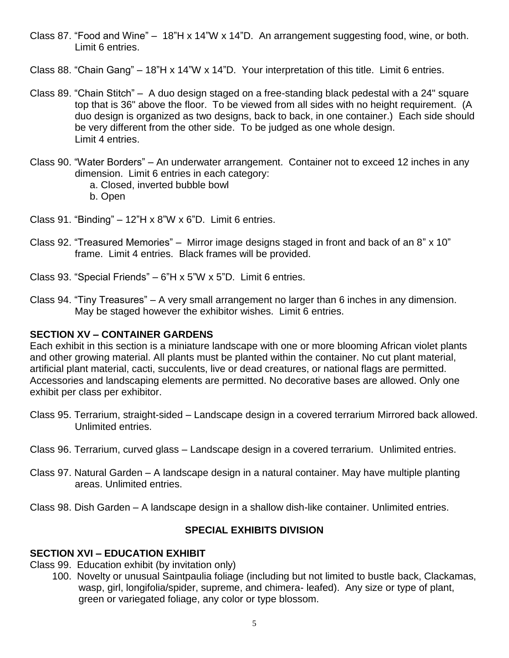- Class 87. "Food and Wine" 18"H x 14"W x 14"D. An arrangement suggesting food, wine, or both. Limit 6 entries.
- Class 88. "Chain Gang" 18"H x 14"W x 14"D. Your interpretation of this title. Limit 6 entries.
- Class 89. "Chain Stitch" A duo design staged on a free-standing black pedestal with a 24" square top that is 36" above the floor. To be viewed from all sides with no height requirement. (A duo design is organized as two designs, back to back, in one container.) Each side should be very different from the other side. To be judged as one whole design. Limit 4 entries.
- Class 90. "Water Borders" An underwater arrangement. Container not to exceed 12 inches in any dimension. Limit 6 entries in each category:
	- a. Closed, inverted bubble bowl b. Open

Class 91. "Binding"  $-12$ "H x 8"W x 6"D. Limit 6 entries.

- Class 92. "Treasured Memories" Mirror image designs staged in front and back of an 8" x 10" frame. Limit 4 entries. Black frames will be provided.
- Class 93. "Special Friends" 6"H x 5"W x 5"D. Limit 6 entries.
- Class 94. "Tiny Treasures" A very small arrangement no larger than 6 inches in any dimension. May be staged however the exhibitor wishes. Limit 6 entries.

#### **SECTION XV – CONTAINER GARDENS**

Each exhibit in this section is a miniature landscape with one or more blooming African violet plants and other growing material. All plants must be planted within the container. No cut plant material, artificial plant material, cacti, succulents, live or dead creatures, or national flags are permitted. Accessories and landscaping elements are permitted. No decorative bases are allowed. Only one exhibit per class per exhibitor.

- Class 95. Terrarium, straight-sided Landscape design in a covered terrarium Mirrored back allowed. Unlimited entries.
- Class 96. Terrarium, curved glass Landscape design in a covered terrarium. Unlimited entries.
- Class 97. Natural Garden A landscape design in a natural container. May have multiple planting areas. Unlimited entries.
- Class 98. Dish Garden A landscape design in a shallow dish-like container. Unlimited entries.

### **SPECIAL EXHIBITS DIVISION**

#### **SECTION XVI – EDUCATION EXHIBIT**

- Class 99. Education exhibit (by invitation only)
	- 100. Novelty or unusual Saintpaulia foliage (including but not limited to bustle back, Clackamas, wasp, girl, longifolia/spider, supreme, and chimera- leafed). Any size or type of plant, green or variegated foliage, any color or type blossom.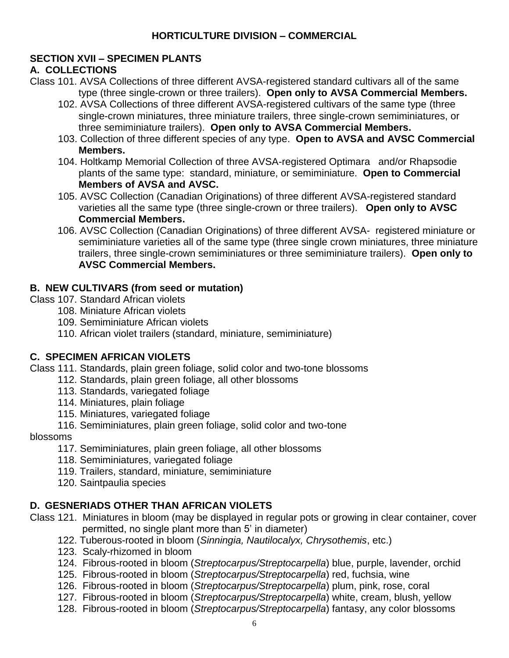## **HORTICULTURE DIVISION – COMMERCIAL**

## **SECTION XVII – SPECIMEN PLANTS**

### **A. COLLECTIONS**

- Class 101. AVSA Collections of three different AVSA-registered standard cultivars all of the same type (three single-crown or three trailers). **Open only to AVSA Commercial Members.**
	- 102. AVSA Collections of three different AVSA-registered cultivars of the same type (three single-crown miniatures, three miniature trailers, three single-crown semiminiatures, or three semiminiature trailers). **Open only to AVSA Commercial Members.**
	- 103. Collection of three different species of any type. **Open to AVSA and AVSC Commercial Members.**
	- 104. Holtkamp Memorial Collection of three AVSA-registered Optimara and/or Rhapsodie plants of the same type: standard, miniature, or semiminiature. **Open to Commercial Members of AVSA and AVSC.**
	- 105. AVSC Collection (Canadian Originations) of three different AVSA-registered standard varieties all the same type (three single-crown or three trailers). **Open only to AVSC Commercial Members.**
	- 106. AVSC Collection (Canadian Originations) of three different AVSA- registered miniature or semiminiature varieties all of the same type (three single crown miniatures, three miniature trailers, three single-crown semiminiatures or three semiminiature trailers). **Open only to AVSC Commercial Members.**

## **B. NEW CULTIVARS (from seed or mutation)**

- Class 107. Standard African violets
	- 108. Miniature African violets
	- 109. Semiminiature African violets
	- 110. African violet trailers (standard, miniature, semiminiature)

## **C. SPECIMEN AFRICAN VIOLETS**

Class 111. Standards, plain green foliage, solid color and two-tone blossoms

- 112. Standards, plain green foliage, all other blossoms
	- 113. Standards, variegated foliage
	- 114. Miniatures, plain foliage
	- 115. Miniatures, variegated foliage
- 116. Semiminiatures, plain green foliage, solid color and two-tone

#### blossoms

- 117. Semiminiatures, plain green foliage, all other blossoms
- 118. Semiminiatures, variegated foliage
- 119. Trailers, standard, miniature, semiminiature
- 120. Saintpaulia species

## **D. GESNERIADS OTHER THAN AFRICAN VIOLETS**

- Class 121. Miniatures in bloom (may be displayed in regular pots or growing in clear container, cover permitted, no single plant more than 5' in diameter)
	- 122. Tuberous-rooted in bloom (*Sinningia, Nautilocalyx, Chrysothemis*, etc.)
	- 123. Scaly-rhizomed in bloom
	- 124. Fibrous-rooted in bloom (*Streptocarpus/Streptocarpella*) blue, purple, lavender, orchid
	- 125. Fibrous-rooted in bloom (*Streptocarpus/Streptocarpella*) red, fuchsia, wine
	- 126. Fibrous-rooted in bloom (*Streptocarpus/Streptocarpella*) plum, pink, rose, coral
	- 127. Fibrous-rooted in bloom (*Streptocarpus/Streptocarpella*) white, cream, blush, yellow
	- 128. Fibrous-rooted in bloom (*Streptocarpus/Streptocarpella*) fantasy, any color blossoms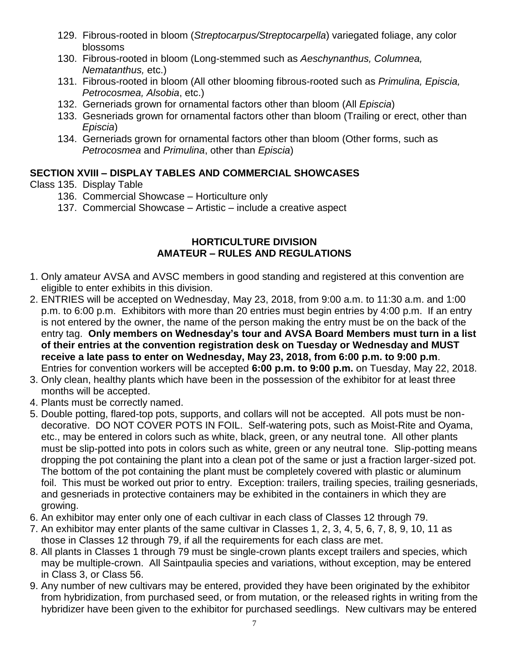- 129. Fibrous-rooted in bloom (*Streptocarpus/Streptocarpella*) variegated foliage, any color blossoms
- 130. Fibrous-rooted in bloom (Long-stemmed such as *Aeschynanthus, Columnea, Nematanthus,* etc.)
- 131. Fibrous-rooted in bloom (All other blooming fibrous-rooted such as *Primulina, Episcia, Petrocosmea, Alsobia*, etc.)
- 132. Gerneriads grown for ornamental factors other than bloom (All *Episcia*)
- 133. Gesneriads grown for ornamental factors other than bloom (Trailing or erect, other than *Episcia*)
- 134. Gerneriads grown for ornamental factors other than bloom (Other forms, such as *Petrocosmea* and *Primulina*, other than *Episcia*)

## **SECTION XVIII – DISPLAY TABLES AND COMMERCIAL SHOWCASES**

- Class 135. Display Table
	- 136. Commercial Showcase Horticulture only
	- 137. Commercial Showcase Artistic include a creative aspect

### **HORTICULTURE DIVISION AMATEUR – RULES AND REGULATIONS**

- 1. Only amateur AVSA and AVSC members in good standing and registered at this convention are eligible to enter exhibits in this division.
- 2. ENTRIES will be accepted on Wednesday, May 23, 2018, from 9:00 a.m. to 11:30 a.m. and 1:00 p.m. to 6:00 p.m. Exhibitors with more than 20 entries must begin entries by 4:00 p.m. If an entry is not entered by the owner, the name of the person making the entry must be on the back of the entry tag. **Only members on Wednesday's tour and AVSA Board Members must turn in a list of their entries at the convention registration desk on Tuesday or Wednesday and MUST receive a late pass to enter on Wednesday, May 23, 2018, from 6:00 p.m. to 9:00 p.m**. Entries for convention workers will be accepted **6:00 p.m. to 9:00 p.m.** on Tuesday, May 22, 2018.
- 3. Only clean, healthy plants which have been in the possession of the exhibitor for at least three months will be accepted.
- 4. Plants must be correctly named.
- 5. Double potting, flared-top pots, supports, and collars will not be accepted. All pots must be nondecorative. DO NOT COVER POTS IN FOIL. Self-watering pots, such as Moist-Rite and Oyama, etc., may be entered in colors such as white, black, green, or any neutral tone. All other plants must be slip-potted into pots in colors such as white, green or any neutral tone. Slip-potting means dropping the pot containing the plant into a clean pot of the same or just a fraction larger-sized pot. The bottom of the pot containing the plant must be completely covered with plastic or aluminum foil. This must be worked out prior to entry. Exception: trailers, trailing species, trailing gesneriads, and gesneriads in protective containers may be exhibited in the containers in which they are growing.
- 6. An exhibitor may enter only one of each cultivar in each class of Classes 12 through 79.
- 7. An exhibitor may enter plants of the same cultivar in Classes 1, 2, 3, 4, 5, 6, 7, 8, 9, 10, 11 as those in Classes 12 through 79, if all the requirements for each class are met.
- 8. All plants in Classes 1 through 79 must be single-crown plants except trailers and species, which may be multiple-crown. All Saintpaulia species and variations, without exception, may be entered in Class 3, or Class 56.
- 9. Any number of new cultivars may be entered, provided they have been originated by the exhibitor from hybridization, from purchased seed, or from mutation, or the released rights in writing from the hybridizer have been given to the exhibitor for purchased seedlings. New cultivars may be entered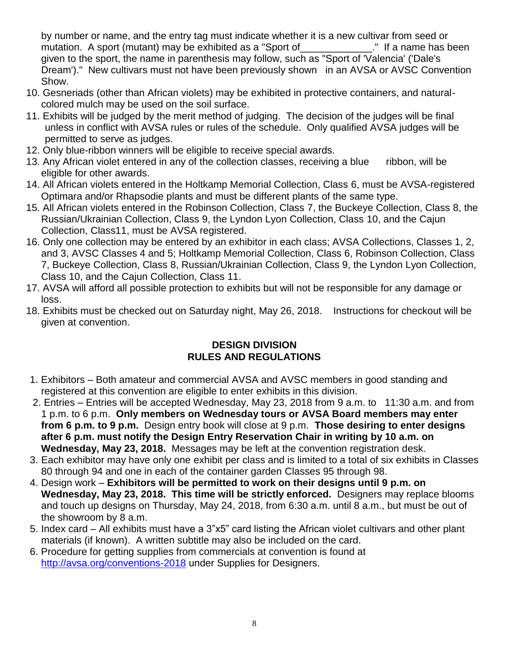by number or name, and the entry tag must indicate whether it is a new cultivar from seed or mutation. A sport (mutant) may be exhibited as a "Sport of The Mutation. A sport (mutant) may be exhibited as a "Sport of given to the sport, the name in parenthesis may follow, such as "Sport of 'Valencia' ('Dale's Dream')." New cultivars must not have been previously shown in an AVSA or AVSC Convention Show.

- 10. Gesneriads (other than African violets) may be exhibited in protective containers, and naturalcolored mulch may be used on the soil surface.
- 11. Exhibits will be judged by the merit method of judging. The decision of the judges will be final unless in conflict with AVSA rules or rules of the schedule. Only qualified AVSA judges will be permitted to serve as judges.
- 12. Only blue-ribbon winners will be eligible to receive special awards.
- 13. Any African violet entered in any of the collection classes, receiving a blue ribbon, will be eligible for other awards.
- 14. All African violets entered in the Holtkamp Memorial Collection, Class 6, must be AVSA-registered Optimara and/or Rhapsodie plants and must be different plants of the same type.
- 15. All African violets entered in the Robinson Collection, Class 7, the Buckeye Collection, Class 8, the Russian/Ukrainian Collection, Class 9, the Lyndon Lyon Collection, Class 10, and the Cajun Collection, Class11, must be AVSA registered.
- 16. Only one collection may be entered by an exhibitor in each class; AVSA Collections, Classes 1, 2, and 3, AVSC Classes 4 and 5; Holtkamp Memorial Collection, Class 6, Robinson Collection, Class 7, Buckeye Collection, Class 8, Russian/Ukrainian Collection, Class 9, the Lyndon Lyon Collection, Class 10, and the Cajun Collection, Class 11.
- 17. AVSA will afford all possible protection to exhibits but will not be responsible for any damage or loss.
- 18. Exhibits must be checked out on Saturday night, May 26, 2018. Instructions for checkout will be given at convention.

### **DESIGN DIVISION RULES AND REGULATIONS**

- 1. Exhibitors Both amateur and commercial AVSA and AVSC members in good standing and registered at this convention are eligible to enter exhibits in this division.
- 2. Entries Entries will be accepted Wednesday, May 23, 2018 from 9 a.m. to 11:30 a.m. and from 1 p.m. to 6 p.m. **Only members on Wednesday tours or AVSA Board members may enter from 6 p.m. to 9 p.m.** Design entry book will close at 9 p.m. **Those desiring to enter designs after 6 p.m. must notify the Design Entry Reservation Chair in writing by 10 a.m. on Wednesday, May 23, 2018.** Messages may be left at the convention registration desk.
- 3. Each exhibitor may have only one exhibit per class and is limited to a total of six exhibits in Classes 80 through 94 and one in each of the container garden Classes 95 through 98.
- 4. Design work **Exhibitors will be permitted to work on their designs until 9 p.m. on Wednesday, May 23, 2018. This time will be strictly enforced.** Designers may replace blooms and touch up designs on Thursday, May 24, 2018, from 6:30 a.m. until 8 a.m., but must be out of the showroom by 8 a.m.
- 5. Index card All exhibits must have a 3"x5" card listing the African violet cultivars and other plant materials (if known). A written subtitle may also be included on the card.
- 6. Procedure for getting supplies from commercials at convention is found at <http://avsa.org/conventions-2018> under Supplies for Designers.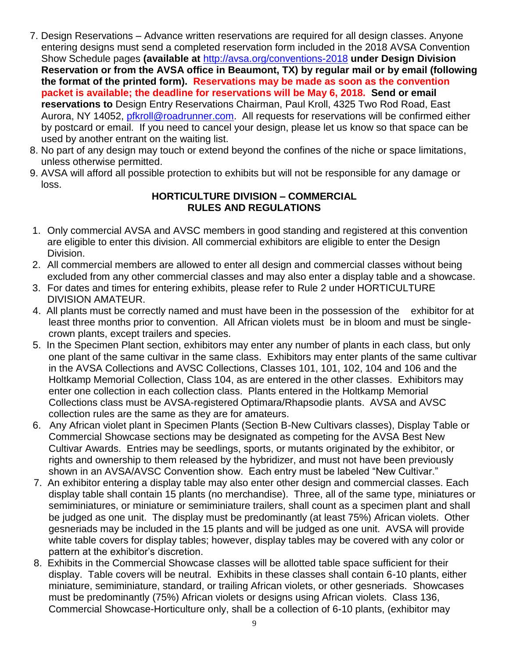- 7. Design Reservations Advance written reservations are required for all design classes. Anyone entering designs must send a completed reservation form included in the 2018 AVSA Convention Show Schedule pages **(available at** <http://avsa.org/conventions-2018> **under Design Division Reservation or from the AVSA office in Beaumont, TX) by regular mail or by email (following the format of the printed form). Reservations may be made as soon as the convention packet is available; the deadline for reservations will be May 6, 2018. Send or email reservations to** Design Entry Reservations Chairman, Paul Kroll, 4325 Two Rod Road, East Aurora, NY 14052, [pfkroll@roadrunner.com.](mailto:pfkroll@roadrunner.com) All requests for reservations will be confirmed either by postcard or email. If you need to cancel your design, please let us know so that space can be used by another entrant on the waiting list.
- 8. No part of any design may touch or extend beyond the confines of the niche or space limitations, unless otherwise permitted.
- 9. AVSA will afford all possible protection to exhibits but will not be responsible for any damage or loss.

### **HORTICULTURE DIVISION – COMMERCIAL RULES AND REGULATIONS**

- 1. Only commercial AVSA and AVSC members in good standing and registered at this convention are eligible to enter this division. All commercial exhibitors are eligible to enter the Design Division.
- 2. All commercial members are allowed to enter all design and commercial classes without being excluded from any other commercial classes and may also enter a display table and a showcase.
- 3. For dates and times for entering exhibits, please refer to Rule 2 under HORTICULTURE DIVISION AMATEUR.
- 4. All plants must be correctly named and must have been in the possession of the exhibitor for at least three months prior to convention. All African violets must be in bloom and must be singlecrown plants, except trailers and species.
- 5. In the Specimen Plant section, exhibitors may enter any number of plants in each class, but only one plant of the same cultivar in the same class. Exhibitors may enter plants of the same cultivar in the AVSA Collections and AVSC Collections, Classes 101, 101, 102, 104 and 106 and the Holtkamp Memorial Collection, Class 104, as are entered in the other classes. Exhibitors may enter one collection in each collection class. Plants entered in the Holtkamp Memorial Collections class must be AVSA-registered Optimara/Rhapsodie plants. AVSA and AVSC collection rules are the same as they are for amateurs.
- 6. Any African violet plant in Specimen Plants (Section B-New Cultivars classes), Display Table or Commercial Showcase sections may be designated as competing for the AVSA Best New Cultivar Awards. Entries may be seedlings, sports, or mutants originated by the exhibitor, or rights and ownership to them released by the hybridizer, and must not have been previously shown in an AVSA/AVSC Convention show. Each entry must be labeled "New Cultivar."
- 7. An exhibitor entering a display table may also enter other design and commercial classes. Each display table shall contain 15 plants (no merchandise). Three, all of the same type, miniatures or semiminiatures, or miniature or semiminiature trailers, shall count as a specimen plant and shall be judged as one unit. The display must be predominantly (at least 75%) African violets. Other gesneriads may be included in the 15 plants and will be judged as one unit. AVSA will provide white table covers for display tables; however, display tables may be covered with any color or pattern at the exhibitor's discretion.
- 8. Exhibits in the Commercial Showcase classes will be allotted table space sufficient for their display. Table covers will be neutral. Exhibits in these classes shall contain 6-10 plants, either miniature, semiminiature, standard, or trailing African violets, or other gesneriads. Showcases must be predominantly (75%) African violets or designs using African violets.Class 136, Commercial Showcase-Horticulture only, shall be a collection of 6-10 plants, (exhibitor may